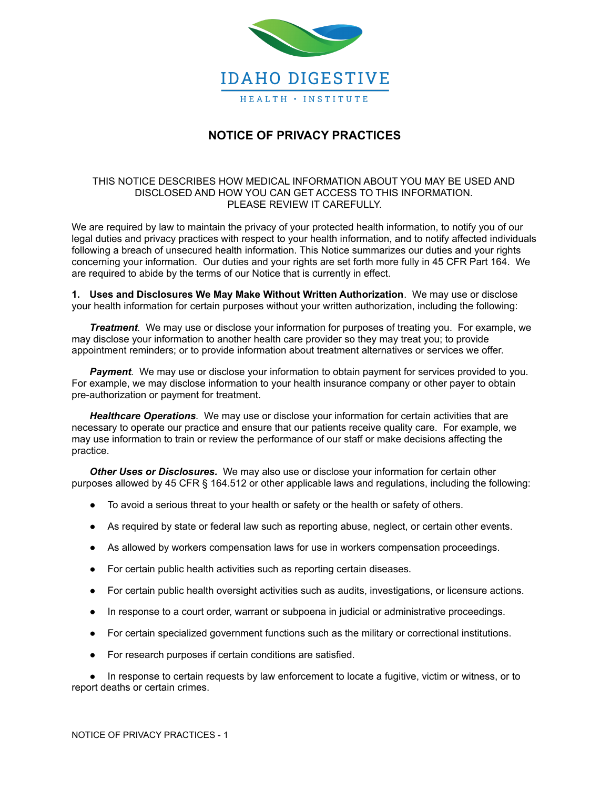

## **NOTICE OF PRIVACY PRACTICES**

## THIS NOTICE DESCRIBES HOW MEDICAL INFORMATION ABOUT YOU MAY BE USED AND DISCLOSED AND HOW YOU CAN GET ACCESS TO THIS INFORMATION. PLEASE REVIEW IT CAREFULLY.

We are required by law to maintain the privacy of your protected health information, to notify you of our legal duties and privacy practices with respect to your health information, and to notify affected individuals following a breach of unsecured health information. This Notice summarizes our duties and your rights concerning your information. Our duties and your rights are set forth more fully in 45 CFR Part 164. We are required to abide by the terms of our Notice that is currently in effect.

**1. Uses and Disclosures We May Make Without Written Authorization**. We may use or disclose your health information for certain purposes without your written authorization, including the following:

*Treatment.* We may use or disclose your information for purposes of treating you. For example, we may disclose your information to another health care provider so they may treat you; to provide appointment reminders; or to provide information about treatment alternatives or services we offer.

*Payment.* We may use or disclose your information to obtain payment for services provided to you. For example, we may disclose information to your health insurance company or other payer to obtain pre-authorization or payment for treatment.

*Healthcare Operations.* We may use or disclose your information for certain activities that are necessary to operate our practice and ensure that our patients receive quality care. For example, we may use information to train or review the performance of our staff or make decisions affecting the practice.

*Other Uses or Disclosures.* We may also use or disclose your information for certain other purposes allowed by 45 CFR § 164.512 or other applicable laws and regulations, including the following:

- To avoid a serious threat to your health or safety or the health or safety of others.
- As required by state or federal law such as reporting abuse, neglect, or certain other events.
- As allowed by workers compensation laws for use in workers compensation proceedings.
- For certain public health activities such as reporting certain diseases.
- For certain public health oversight activities such as audits, investigations, or licensure actions.
- In response to a court order, warrant or subpoena in judicial or administrative proceedings.
- For certain specialized government functions such as the military or correctional institutions.
- For research purposes if certain conditions are satisfied.

● In response to certain requests by law enforcement to locate a fugitive, victim or witness, or to report deaths or certain crimes.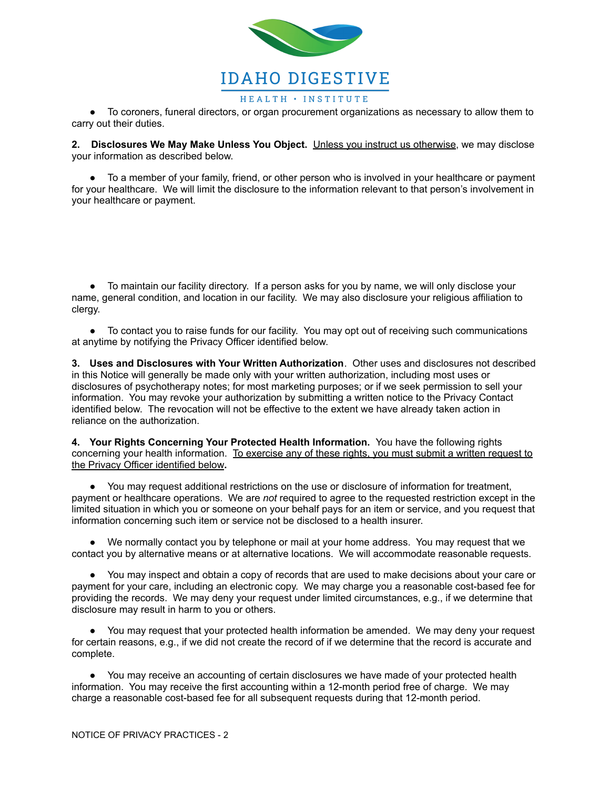

● To coroners, funeral directors, or organ procurement organizations as necessary to allow them to carry out their duties.

**2. Disclosures We May Make Unless You Object.** Unless you instruct us otherwise, we may disclose your information as described below.

● To a member of your family, friend, or other person who is involved in your healthcare or payment for your healthcare. We will limit the disclosure to the information relevant to that person's involvement in your healthcare or payment.

● To maintain our facility directory. If a person asks for you by name, we will only disclose your name, general condition, and location in our facility. We may also disclosure your religious affiliation to clergy.

• To contact you to raise funds for our facility. You may opt out of receiving such communications at anytime by notifying the Privacy Officer identified below.

**3. Uses and Disclosures with Your Written Authorization**. Other uses and disclosures not described in this Notice will generally be made only with your written authorization, including most uses or disclosures of psychotherapy notes; for most marketing purposes; or if we seek permission to sell your information. You may revoke your authorization by submitting a written notice to the Privacy Contact identified below. The revocation will not be effective to the extent we have already taken action in reliance on the authorization.

**4. Your Rights Concerning Your Protected Health Information.** You have the following rights concerning your health information. To exercise any of these rights, you must submit a written request to the Privacy Officer identified below**.**

● You may request additional restrictions on the use or disclosure of information for treatment, payment or healthcare operations. We are *not* required to agree to the requested restriction except in the limited situation in which you or someone on your behalf pays for an item or service, and you request that information concerning such item or service not be disclosed to a health insurer.

● We normally contact you by telephone or mail at your home address. You may request that we contact you by alternative means or at alternative locations. We will accommodate reasonable requests.

● You may inspect and obtain a copy of records that are used to make decisions about your care or payment for your care, including an electronic copy. We may charge you a reasonable cost-based fee for providing the records. We may deny your request under limited circumstances, e.g., if we determine that disclosure may result in harm to you or others.

• You may request that your protected health information be amended. We may deny your request for certain reasons, e.g., if we did not create the record of if we determine that the record is accurate and complete.

● You may receive an accounting of certain disclosures we have made of your protected health information. You may receive the first accounting within a 12-month period free of charge. We may charge a reasonable cost-based fee for all subsequent requests during that 12-month period.